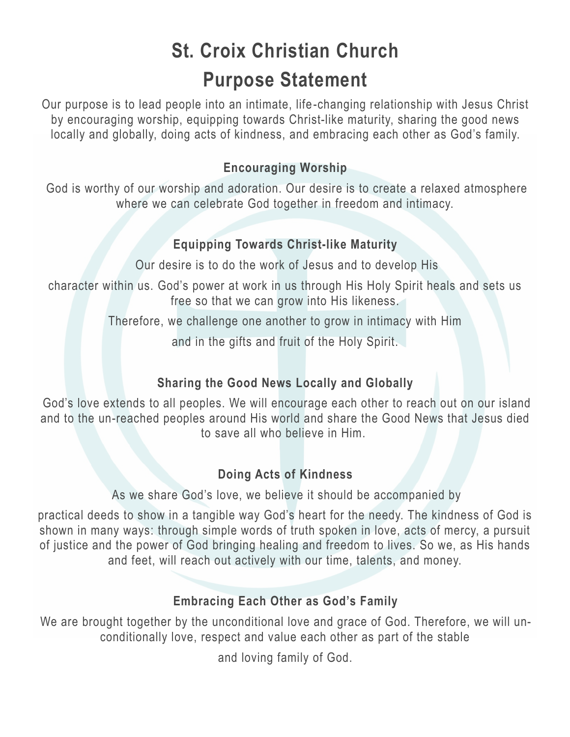# **St. Croix Christian Church Purpose Statement**

Our purpose is to lead people into an intimate, life-changing relationship with Jesus Christ by encouraging worship, equipping towards Christ-like maturity, sharing the good news locally and globally, doing acts of kindness, and embracing each other as God's family.

### **Encouraging Worship**

God is worthy of our worship and adoration. Our desire is to create a relaxed atmosphere where we can celebrate God together in freedom and intimacy.

#### **Equipping Towards Christ-like Maturity**

Our desire is to do the work of Jesus and to develop His

character within us. God's power at work in us through His Holy Spirit heals and sets us free so that we can grow into His likeness.

Therefore, we challenge one another to grow in intimacy with Him

and in the gifts and fruit of the Holy Spirit.

### **Sharing the Good News Locally and Globally**

God's love extends to all peoples. We will encourage each other to reach out on our island and to the un-reached peoples around His world and share the Good News that Jesus died to save all who believe in Him.

### **Doing Acts of Kindness**

As we share God's love, we believe it should be accompanied by

practical deeds to show in a tangible way God's heart for the needy. The kindness of God is shown in many ways: through simple words of truth spoken in love, acts of mercy, a pursuit of justice and the power of God bringing healing and freedom to lives. So we, as His hands and feet, will reach out actively with our time, talents, and money.

### **Embracing Each Other as God's Family**

We are brought together by the unconditional love and grace of God. Therefore, we will unconditionally love, respect and value each other as part of the stable

and loving family of God.